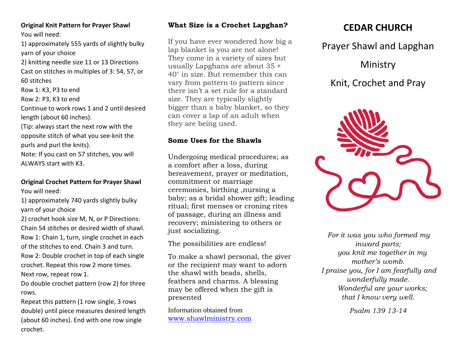#### **Original Knit Pattern for Prayer Shawl** You will need:

1) approximately 555 yards of slightly bulky yarn of your choice

2) knitting needle size 11 or 13 Directions Cast on stitches in multiples of 3: 54, 57, or 60 stitches

Row 1: K3, P3 to end

Row 2: P3, K3 to end

Continue to work rows 1 and 2 until desired length (about 60 inches).

(Tip: always start the next row with the opposite stitch of what you see‐knit the purls and purl the knits).

Note: If you cast on 57 stitches, you will ALWAYS start with K3.

## **Original Crochet Pattern for Prayer Shawl** You will need:

1) approximately 740 yards slightly bulky yarn of your choice

2) crochet hook size M, N, or P Directions: Chain 54 stitches or desired width of shawl. Row 1: Chain 1, turn, single crochet in each of the stitches to end. Chain 3 and turn. Row 2: Double crochet in top of each single crochet. Repeat this row 2 more times. Next row, repeat row 1.

Do double crochet pattern (row 2) for three rows.

Repeat this pattern (1 row single, 3 rows double) until piece measures desired length (about 60 inches). End with one row single crochet.

# **What Size is a Crochet Lapghan?**

If you have ever wondered how big a lap blanket is you are not alone! They come in a variety of sizes but usually Lapghans are about 35 × 40″ in size. But remember this can vary from pattern to pattern since there isn't a set rule for a standard size. They are typically slightly bigger than a baby blanket, so they can cover a lap of an adult when they are being used.

# **Some Uses for the Shawls**

Undergoing medical procedures; as a comfort after a loss, during bereavement, prayer or meditation, commitment or marriage ceremonies, birthing ,nursing a baby; as a bridal shower gift; leading ritual; first menses or croning rites of passage, during an illness and recovery; ministering to others or just socializing.

The possibilities are endless!

To make a shawl personal, the giver or the recipient may want to adorn the shawl with beads, shells, feathers and charms. A blessing may be offered when the gift is presented

Information obtained from [www.shawlministry.com](http://www.shawlministry.com/)

# **CEDAR CHURCH**

Prayer Shawl and Lapghan

Ministry

Knit, Crochet and Pray



*For it was you who formed my inward parts; you knit me together in my mother's womb. I praise you, for I am fearfully and wonderfully made. Wonderful are your works; that I know very well.*

*Psalm 139 13-14*